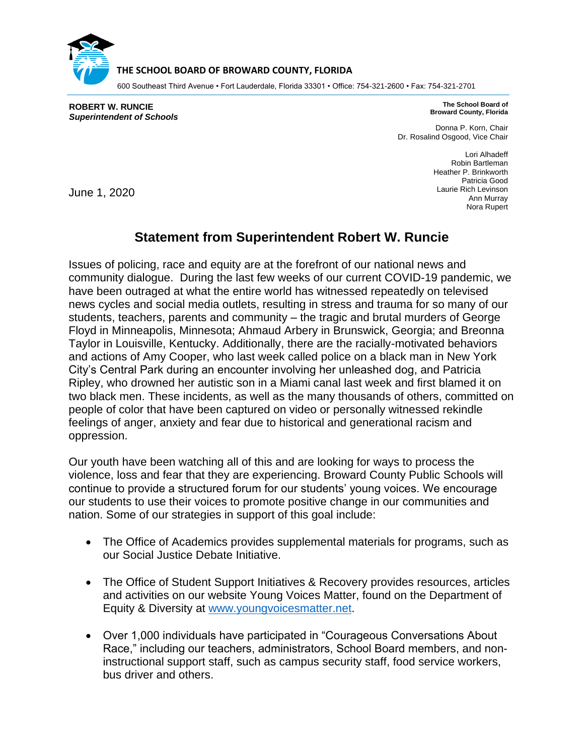

## **THE SCHOOL BOARD OF BROWARD COUNTY, FLORIDA**

600 Southeast Third Avenue • Fort Lauderdale, Florida 33301 • Office: 754-321-2600 • Fax: 754-321-2701

**ROBERT W. RUNCIE** *Superintendent of Schools*

**The School Board of Broward County, Florida**

Donna P. Korn, Chair Dr. Rosalind Osgood, Vice Chair

> Lori Alhadeff Robin Bartleman Heather P. Brinkworth Patricia Good Laurie Rich Levinson Ann Murray Nora Rupert

June 1, 2020

## **Statement from Superintendent Robert W. Runcie**

Issues of policing, race and equity are at the forefront of our national news and community dialogue. During the last few weeks of our current COVID-19 pandemic, we have been outraged at what the entire world has witnessed repeatedly on televised news cycles and social media outlets, resulting in stress and trauma for so many of our students, teachers, parents and community – the tragic and brutal murders of George Floyd in Minneapolis, Minnesota; Ahmaud Arbery in Brunswick, Georgia; and Breonna Taylor in Louisville, Kentucky. Additionally, there are the racially-motivated behaviors and actions of Amy Cooper, who last week called police on a black man in New York City's Central Park during an encounter involving her unleashed dog, and Patricia Ripley, who drowned her autistic son in a Miami canal last week and first blamed it on two black men. These incidents, as well as the many thousands of others, committed on people of color that have been captured on video or personally witnessed rekindle feelings of anger, anxiety and fear due to historical and generational racism and oppression.

Our youth have been watching all of this and are looking for ways to process the violence, loss and fear that they are experiencing. Broward County Public Schools will continue to provide a structured forum for our students' young voices. We encourage our students to use their voices to promote positive change in our communities and nation. Some of our strategies in support of this goal include:

- The Office of Academics provides supplemental materials for programs, such as our Social Justice Debate Initiative.
- The Office of Student Support Initiatives & Recovery provides resources, articles and activities on our website Young Voices Matter, found on the Department of Equity & Diversity at [www.youngvoicesmatter.net.](http://www.youngvoicesmatter.net/)
- Over 1,000 individuals have participated in "Courageous Conversations About Race," including our teachers, administrators, School Board members, and noninstructional support staff, such as campus security staff, food service workers, bus driver and others.